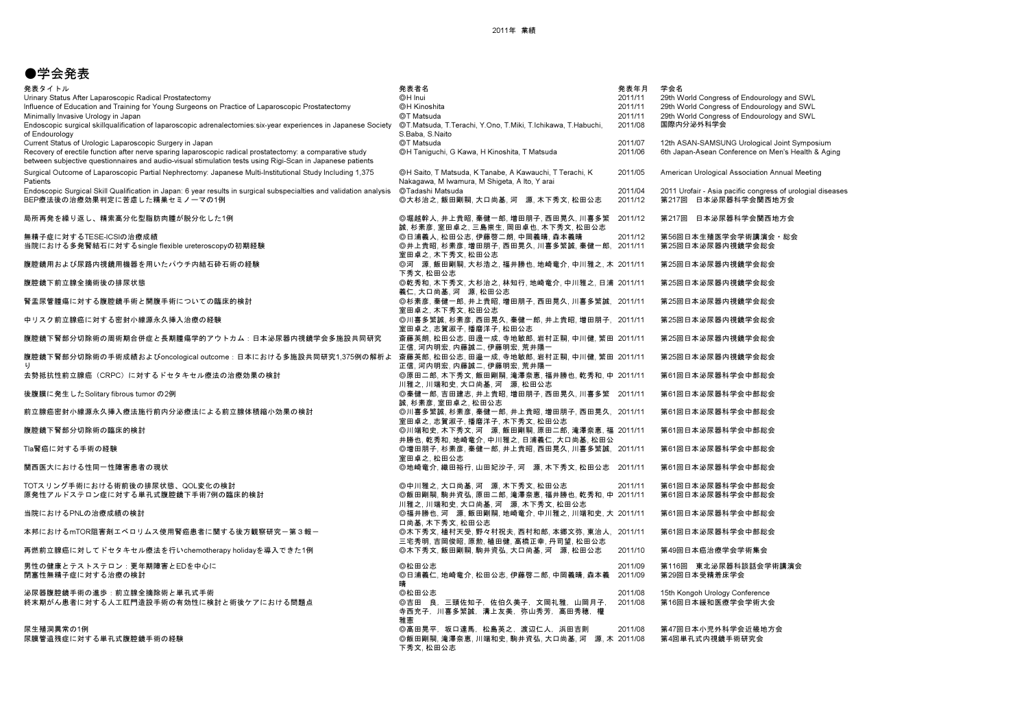## ●学会発表

| 発表タイトル<br>Urinary Status After Laparoscopic Radical Prostatectomy                                                                                                                                                      | 発表者名<br>©H Inui                                                                                          | 発表年月<br>2011/11 | 学会名<br>29th World Congress of Endourology and SWL          |
|------------------------------------------------------------------------------------------------------------------------------------------------------------------------------------------------------------------------|----------------------------------------------------------------------------------------------------------|-----------------|------------------------------------------------------------|
| Influence of Education and Training for Young Surgeons on Practice of Laparoscopic Prostatectomy                                                                                                                       | @H Kinoshita                                                                                             | 2011/11         | 29th World Congress of Endourology and SWL                 |
| Minimally Invasive Urology in Japan                                                                                                                                                                                    | ©T Matsuda                                                                                               | 2011/11         | 29th World Congress of Endourology and SWL                 |
| Endoscopic surgical skillgualification of laparoscopic adrenalectomies: six-year experiences in Japanese Society<br>of Endourology                                                                                     | ©T.Matsuda, T.Terachi, Y.Ono, T.Miki, T.Ichikawa, T.Habuchi,<br>S.Baba, S.Naito                          | 2011/08         | 国際内分泌外科学会                                                  |
| Current Status of Urologic Laparoscopic Surgery in Japan                                                                                                                                                               | ©T Matsuda                                                                                               | 2011/07         | 12th ASAN-SAMSUNG Urological Joint Symposium               |
| Recovery of erectile function after nerve sparing laparoscopic radical prostatectomy: a comparative study<br>between subjective questionnaires and audio-visual stimulation tests using Rigi-Scan in Japanese patients | ©H Taniguchi, G Kawa, H Kinoshita, T Matsuda                                                             | 2011/06         | 6th Japan-Asean Conference on Men's Health & Aging         |
| Surgical Outcome of Laparoscopic Partial Nephrectomy: Japanese Multi-Institutional Study Including 1,375<br>Patients                                                                                                   | ©H Saito, T Matsuda, K Tanabe, A Kawauchi, T Terachi, K<br>Nakagawa, M Iwamura, M Shigeta, A Ito, Y arai | 2011/05         | American Urological Association Annual Meeting             |
| Endoscopic Surgical Skill Qualification in Japan: 6 year results in surgical subspecialties and validation analysis                                                                                                    | ©Tadashi Matsuda                                                                                         | 2011/04         | 2011 Urofair - Asia pacific congress of urologial diseases |
| BEP療法後の治療効果判定に苦慮した精巣セミノーマの1例                                                                                                                                                                                           | ◎大杉治之,飯田剛嗣,大口尚基,河 源,木下秀文,松田公志                                                                            | 2011/12         | 第217回 日本泌尿器科学会関西地方会                                        |
| 局所再発を繰り返し、精索高分化型脂肪肉腫が脱分化した1例                                                                                                                                                                                           | ◎堀越幹人,井上貴昭,秦健一郎,増田朋子,西田晃久,川喜多繁<br>誠、杉素彦、室田卓之、三島崇生、岡田卓也、木下秀文、松田公志                                         | 2011/12         | 第217回<br>日本泌尿器科学会関西地方会                                     |
| 無精子症に対するTESE-ICSIの治療成績                                                                                                                                                                                                 | ◎日浦義人, 松田公志, 伊藤啓二朗, 中岡義晴, 森本義晴                                                                           | 2011/12         | 第56回日本生殖医学会学術講演会・総会                                        |
| 当院における多発腎結石に対するsingle flexible ureteroscopyの初期経験                                                                                                                                                                       | ◎井上貴昭,杉素彦,増田朋子,西田晃久,川喜多繁誠,秦健一郎, 2011/11                                                                  |                 | 第25回日本泌尿器内視鏡学会総会                                           |
|                                                                                                                                                                                                                        | 室田卓之、木下秀文、松田公志                                                                                           |                 |                                                            |
| 腹腔鏡用および尿路内視鏡用機器を用いたパウチ内結石砕石術の経験                                                                                                                                                                                        | ◎河 源, 飯田剛嗣, 大杉浩之, 福井勝也, 地崎竜介, 中川雅之, 木 2011/11<br>下秀文.松田公志                                                |                 | 第25回日本泌尿器内視鏡学会総会                                           |
| 腹腔鏡下前立腺全摘術後の排尿状態                                                                                                                                                                                                       | ◎乾秀和, 木下秀文, 大杉治之, 林知行, 地崎竜介, 中川雅之, 日浦 2011/11                                                            |                 | 第25回日本泌尿器内視鏡学会総会                                           |
|                                                                                                                                                                                                                        | 義仁,大口尚基,河 源,松田公志                                                                                         |                 |                                                            |
| 腎盂尿管腫瘍に対する腹腔鏡手術と開腹手術についての臨床的検討                                                                                                                                                                                         | ◎杉素彦,秦健一郎,井上貴昭,増田朋子,西田晃久,川喜多繁誠, 2011/11<br>室田卓之.木下秀文.松田公志                                                |                 | 第25回日本泌尿器内視鏡学会総会                                           |
| 中リスク前立腺癌に対する密封小線源永久挿入治療の経験                                                                                                                                                                                             | ◎川喜多繁誠, 杉素彦, 西田晃久, 秦健一郎, 井上貴昭, 増田朋子, 2011/11<br>室田卓之,志賀淑子,播磨洋子,松田公志                                      |                 | 第25回日本泌尿器内視鏡学会総会                                           |
| 腹腔鏡下腎部分切除術の周術期合併症と長期腫瘍学的アウトカム:日本泌尿器内視鏡学会多施設共同研究                                                                                                                                                                        | 斎藤英朗, 松田公志, 田邊一成, 寺地敏郎, 岩村正嗣, 中川健, 繁田 2011/11<br>正信. 河内明宏. 内藤誠二. 伊藤明宏. 荒井陽一                              |                 | 第25回日本泌尿器内視鏡学会総会                                           |
| 腹腔鏡下腎部分切除術の手術成績およびoncological outcome:日本における多施設共同研究1,375例の解析よ 斎藤英郎, 松田公志, 田邉一成, 寺地敏郎, 岩村正嗣, 中川健, 繁田 2011/11                                                                                                            | 正信,河内明宏,内藤誠二,伊藤明宏,荒井陽一                                                                                   |                 | 第25回日本泌尿器内視鏡学会総会                                           |
| 去勢抵抗性前立腺癌(CRPC)に対するドセタキセル療法の治療効果の検討                                                                                                                                                                                    | ◎原田二郎. 木下秀文. 飯田剛嗣. 滝澤奈恵. 福井勝也. 乾秀和. 中 2011/11                                                            |                 | 第61回日本泌尿器科学会中部総会                                           |
| 後腹膜に発生したSolitary fibrous tumor の2例                                                                                                                                                                                     | 川雅之,川端和史,大口尚基,河 源,松田公志<br>◎秦健一郎,吉田建志,井上貴昭,増田朋子,西田晃久,川喜多繁 2011/11                                         |                 | 第61回日本泌尿器科学会中部総会                                           |
|                                                                                                                                                                                                                        | 誠、杉素彦、室田卓之、松田公志                                                                                          |                 |                                                            |
| 前立腺癌密封小線源永久挿入療法施行前内分泌療法による前立腺体積縮小効果の検討                                                                                                                                                                                 | ◎川喜多繁誠, 杉素彦, 秦健一郎, 井上貴昭, 増田朋子, 西田晃久, 2011/11<br>室田卓之,志賀淑子,播磨洋子,木下秀文,松田公志                                 |                 | 第61回日本泌尿器科学会中部総会                                           |
| 腹腔鏡下腎部分切除術の臨床的検討                                                                                                                                                                                                       | ◎川端和史,木下秀文,河 源,飯田剛嗣,原田二郎,滝澤奈恵,福 2011/11<br>井勝也, 乾秀和, 地崎竜介, 中川雅之, 日浦義仁, 大口尚基, 松田公                         |                 | 第61回日本泌尿器科学会中部総会                                           |
| Tla腎癌に対する手術の経験                                                                                                                                                                                                         | ◎増田朋子,杉素彦,秦健一郎,井上貴昭,西田晃久,川喜多繁誠, 2011/11<br>室田卓之,松田公志                                                     |                 | 第61回日本泌尿器科学会中部総会                                           |
| 関西医大における性同一性障害患者の現状                                                                                                                                                                                                    | ◎地崎竜介, 織田裕行, 山田妃沙子, 河 源, 木下秀文, 松田公志 2011/11                                                              |                 | 第61回日本泌尿器科学会中部総会                                           |
| TOTスリング手術における術前後の排尿状態、QOL変化の検討                                                                                                                                                                                         | ◎中川雅之.大口尚基.河 源.木下秀文.松田公志                                                                                 | 2011/11         | 第61回日本泌尿器科学会中部総会                                           |
| 原発性アルドステロン症に対する単孔式腹腔鏡下手術7例の臨床的検討                                                                                                                                                                                       | ◎飯田剛嗣, 駒井資弘, 原田二郎, 滝澤奈恵, 福井勝也, 乾秀和, 中 2011/11                                                            |                 | 第61回日本泌尿器科学会中部総会                                           |
|                                                                                                                                                                                                                        | 川雅之,川端和史,大口尚基,河 源,木下秀文,松田公志                                                                              |                 |                                                            |
| 当院におけるPNLの治療成績の検討                                                                                                                                                                                                      | ◎福井勝也, 河 源, 飯田剛嗣, 地崎竜介, 中川雅之, 川端和史, 大 2011/11<br>口尚基.木下秀文.松田公志                                           |                 | 第61回日本泌尿器科学会中部総会                                           |
| 本邦におけるmTOR阻害剤エベロリムス使用腎癌患者に関する後方観察研究一第3報ー                                                                                                                                                                               | ◎木下秀文, 植村天受, 野々村祝夫, 西村和郎, 本郷文弥, 東治人, 2011/11<br>三宅秀明,吉岡俊昭,原勲,植田健,高橋正幸,丹司望,松田公志                           |                 | 第61回日本泌尿器科学会中部総会                                           |
| 再燃前立腺癌に対してドセタキセル療法を行いchemotherapy holidayを導入できた1例                                                                                                                                                                      | ◎木下秀文,飯田剛嗣,駒井資弘,大口尚基,河 源,松田公志                                                                            | 2011/10         | 第49回日本癌治療学会学術集会                                            |
| 男性の健康とテストステロン:更年期障害とEDを中心に                                                                                                                                                                                             | ◎松田公志                                                                                                    | 2011/09         | 第116回 東北泌尿器科談話会学術講演会                                       |
| 閉塞性無精子症に対する治療の検討                                                                                                                                                                                                       | ◎日浦義仁, 地崎竜介, 松田公志, 伊藤啓二郎, 中岡義晴, 森本義<br>晴                                                                 | 2011/09         | 第29回日本受精着床学会                                               |
| 泌尿器腹腔鏡手術の進歩:前立腺全摘除術と単孔式手術                                                                                                                                                                                              | ◎松田公志                                                                                                    | 2011/08         | 15th Kongoh Urology Conference                             |
| 終末期がん患者に対する人工肛門造設手術の有効性に検討と術後ケアにおける問題点                                                                                                                                                                                 | ◎吉田 良,三頭佐知子,佐伯久美子,文岡礼雅,山岡月子,<br>寺西充子,川喜多繁誠,溝上友美,弥山秀芳,高田秀穂,權<br>雅憲                                        | 2011/08         | 第16回日本緩和医療学会学術大会                                           |
| 尿生殖洞異常の1例                                                                                                                                                                                                              | ◎高田晃平,坂口達馬,松島英之,渡辺仁人,浜田吉則                                                                                | 2011/08         | 第47回日本小児外科学会近畿地方会                                          |
| 尿膜管遺残症に対する単孔式腹腔鏡手術の経験                                                                                                                                                                                                  | ◎飯田剛嗣, 滝澤奈恵, 川端和史, 駒井資弘, 大口尚基, 河 源, 木 2011/08<br>下秀文.松田公志                                                |                 | 第4回単孔式内視鏡手術研究会                                             |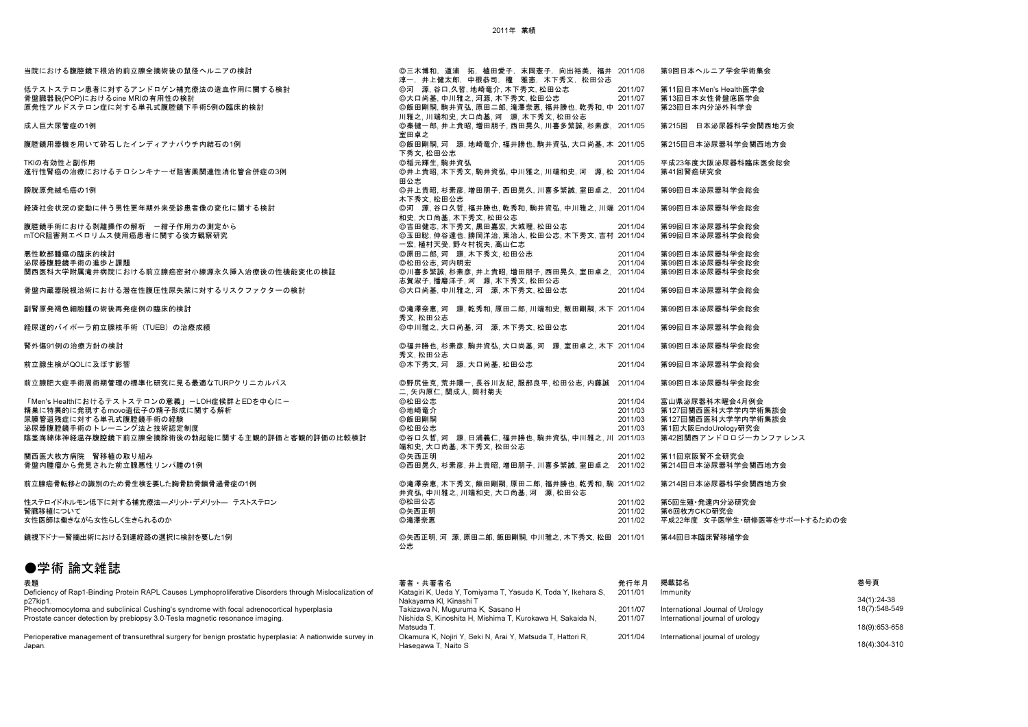| 当院における腹腔鏡下根治的前立腺全摘術後の鼠径ヘルニアの検討                | ◎三木博和,道浦 拓,植田愛子,末岡憲子,向出裕美,福井 2011/08                                         |         | 第9回日本ヘルニア学会学術集会              |
|-----------------------------------------------|------------------------------------------------------------------------------|---------|------------------------------|
| 低テストステロン患者に対するアンドロゲン補充療法の造血作用に関する検討           | 淳一,井上健太郎,中根恭司,權,雅憲,木下秀文,松田公志<br>◎河 源.谷口.久哲.地崎竜介.木下秀文.松田公志                    | 2011/07 | 第11回日本Men's Health医学会        |
|                                               |                                                                              | 2011/07 | 第13回日本女性骨盤底医学会               |
| 骨盤臓器脱(POP)におけるcine MRIの有用性の検討                 | ◎大口尚基.中川雅之.河源.木下秀文.松田公志                                                      |         |                              |
| 原発性アルドステロン症に対する単孔式腹腔鏡下手術5例の臨床的検討              | ◎飯田剛嗣,駒井資弘,原田二郎,滝澤奈恵,福井勝也,乾秀和,中 2011/07<br>川雅之,川端和史,大口尚基,河 源,木下秀文,松田公志       |         | 第23回日本内分泌外科学会                |
| 成人巨大尿管症の1例                                    | ◎秦健一郎,井上貴昭,増田朋子,西田晃久,川喜多繁誠,杉素彦, 2011/05<br>室田卓之                              |         | 第215回 日本泌尿器科学会関西地方会          |
| 腹腔鏡用器機を用いて砕石したインディアナパウチ内結石の1例                 | ◎飯田剛嗣、河 源、地崎竜介、福井勝也、駒井資弘、大口尚基、木 2011/05                                      |         | 第215回日本泌尿器科学会関西地方会           |
|                                               | 下秀文,松田公志                                                                     |         |                              |
| TKIの有効性と副作用                                   | ◎稲元輝生. 駒井資弘                                                                  | 2011/05 | 平成23年度大阪泌尿器科臨床医会総会           |
| 進行性腎癌の治療におけるチロシンキナーゼ阻害薬関連性消化管合併症の3例           | ◎井上貴昭, 木下秀文, 駒井資弘, 中川雅之, 川端和史, 河 源, 松 2011/04<br>田公志                         |         | 第41回腎癌研究会                    |
| 膀胱原発絨毛癌の1例                                    | ◎井上貴昭,杉素彦,増田朋子,西田晃久,川喜多繁誠,室田卓之, 2011/04                                      |         | 第99回日本泌尿器科学会総会               |
|                                               | 木下秀文.松田公志                                                                    |         |                              |
| 経済社会状況の変動に伴う男性更年期外来受診患者像の変化に関する検討             | ◎河 源、谷口久哲,福井勝也,乾秀和,駒井資弘,中川雅之,川端 2011/04<br>和史.大口尚基.木下秀文.松田公志                 |         | 第99回日本泌尿器科学会総会               |
| 腹腔鏡手術における剥離操作の解析 一紺子作用力の測定から                  | ◎吉田健志, 木下秀文, 黒田嘉宏, 大城理, 松田公志                                                 | 2011/04 | 第99回日本泌尿器科学会総会               |
| mTOR阻害剤エベロリムス使用癌患者に関する後方観察研究                  | ◎玉田聡,仲谷達也,勝岡洋治,東治人,松田公志,木下秀文,吉村 2011/04                                      |         | 第99回日本泌尿器科学会総会               |
|                                               | 一宏, 植村天受, 野々村祝夫, 高山仁志                                                        |         |                              |
| 悪性軟部腫瘍の臨床的検討                                  | ◎原田二郎.河 源.木下秀文.松田公志                                                          | 2011/04 | 第99回日本泌尿器科学会総会               |
| 泌尿器腹腔鏡手術の進歩と課題                                | ◎松田公志.河内明宏                                                                   | 2011/04 | 第99回日本泌尿器科学会総会               |
| 関西医科大学附属滝井病院における前立腺癌密封小線源永久挿入治療後の性機能変化の検証     | ◎川喜多繁誠, 杉素彦, 井上貴昭, 増田朋子, 西田晃久, 室田卓之, 2011/04<br>志賀淑子,播磨洋子,河 源,木下秀文,松田公志      |         | 第99回日本泌尿器科学会総会               |
| 骨盤内蔵器脱根治術における潜在性腹圧性尿失禁に対するリスクファクターの検討         | ◎大口尚基.中川雅之.河 源.木下秀文.松田公志                                                     | 2011/04 | 第99回日本泌尿器科学会総会               |
| 副腎原発褐色細胞腫の術後再発症例の臨床的検討                        | ◎滝澤奈恵, 河 源, 乾秀和, 原田二郎, 川端和史, 飯田剛嗣, 木下 2011/04<br>秀文. 松田公志                    |         | 第99回日本泌尿器科学会総会               |
| 経尿道的バイポーラ前立腺核手術(TUEB)の治療成績                    | ◎中川雅之.大口尚基.河 源.木下秀文.松田公志                                                     | 2011/04 | 第99回日本泌尿器科学会総会               |
| 腎外傷91例の治療方針の検討                                | ◎福井勝也,杉素彦,駒井資弘,大口尚基,河 源,室田卓之,木下 2011/04                                      |         | 第99回日本泌尿器科学会総会               |
|                                               | 秀文. 松田公志                                                                     |         |                              |
| 前立腺生検がQOLに及ぼす影響                               | ◎木下秀文.河 源.大口尚基.松田公志                                                          | 2011/04 | 第99回日本泌尿器科学会総会               |
| 前立腺肥大症手術周術期管理の標準化研究に見る最適なTURPクリニカルパス          | ◎野尻佳克,荒井陽一,長谷川友紀,服部良平,松田公志,内藤誠 2011/04<br>二,矢内原仁,関成人,岡村菊夫                    |         | 第99回日本泌尿器科学会総会               |
| 「Men's Healthにおけるテストステロンの意義」-LOH症候群とEDを中心に-   | ◎松田公志                                                                        | 2011/04 | 富山県泌尿器科木曜会4月例会               |
| 精巣に特異的に発現するmovo遺伝子の精子形成に関する解析                 | ◎地崎竜介                                                                        | 2011/03 | 第127回関西医科大学学内学術集談会           |
| 尿膜管遺残症に対する単孔式腹腔鏡手術の経験                         | ◎飯田剛嗣                                                                        | 2011/03 | 第127回関西医科大学学内学術集談会           |
| 泌尿器腹腔鏡手術のトレーニング法と技術認定制度                       | ◎松田公志                                                                        | 2011/03 | 第1回大阪EndoUrology研究会          |
| 陰茎海綿体神経温存腹腔鏡下前立腺全摘除術後の勃起能に関する主観的評価と客観的評価の比較検討 | ◎谷口久哲,河 源,日浦義仁,福井勝也,駒井資弘,中川雅之,川 2011/03<br>端和史,大口尚基,木下秀文,松田公志                |         | 第42回関西アンドロロジーカンファレンス         |
| 関西医大枚方病院 腎移植の取り組み                             | ◎矢西正明                                                                        | 2011/02 | 第11回京阪腎不全研究会                 |
| 骨盤内腫瘤から発見された前立腺悪性リンパ腫の1例                      | ◎西田晃久,杉素彦,井上貴昭,増田朋子,川喜多繁誠,室田卓之 2011/02                                       |         | 第214回日本泌尿器科学会関西地方会           |
| 前立腺癌骨転移との識別のため骨生検を要した胸骨肋骨鎖骨過骨症の1例             | ◎滝澤奈恵, 木下秀文, 飯田剛嗣, 原田二郎, 福井勝也, 乾秀和, 駒 2011/02<br>井資弘,中川雅之,川端和史,大口尚基,河 源,松田公志 |         | 第214回日本泌尿器科学会関西地方会           |
| 性ステロイドホルモン低下に対する補充療法―メリット・デメリット― テストステロン      | ◎松田公志                                                                        | 2011/02 | 第5回生殖·発達内分泌研究会               |
| 腎臓移植について                                      | ◎矢西正明                                                                        | 2011/02 | 第6回枚方CKD研究会                  |
| 女性医師は働きながら女性らしく生きられるのか                        | ◎滝澤奈恵                                                                        | 2011/02 | 平成22年度 女子医学生・研修医等をサポートするための会 |
| 鏡視下ドナ一腎摘出術における到達経路の選択に検討を要した1例                | ◎矢西正明, 河 源, 原田二郎, 飯田剛嗣, 中川雅之, 木下秀文, 松田 2011/01<br>公志                         |         | 第44回日本臨床腎移植学会                |
|                                               |                                                                              |         |                              |

## ●学術 論文雑誌

| 表題                                                                                                         | 著者 共著者名                                                      | 発行年月    | 掲載誌名                             | 巻号頁           |
|------------------------------------------------------------------------------------------------------------|--------------------------------------------------------------|---------|----------------------------------|---------------|
| Deficiency of Rap1-Binding Protein RAPL Causes Lymphoproliferative Disorders through Mislocalization of    | Katagiri K, Ueda Y, Tomiyama T, Yasuda K, Toda Y, Ikehara S, | 2011/01 | Immunity                         |               |
| p27kip1.                                                                                                   | Nakavama Kl. Kinashi T                                       |         |                                  | 34(1):24-38   |
| Pheochromocytoma and subclinical Cushing's syndrome with focal adrenocortical hyperplasia                  | Takizawa N, Muguruma K, Sasano H                             | 2011/07 | International Journal of Urology | 18(7):548-549 |
| Prostate cancer detection by prebiopsy 3.0-Tesla magnetic resonance imaging.                               | Nishida S, Kinoshita H, Mishima T, Kurokawa H, Sakaida N,    | 2011/07 | International journal of urology |               |
|                                                                                                            | Matsuda T.                                                   |         |                                  | 18(9):653-658 |
| Perioperative management of transurethral surgery for benign prostatic hyperplasia: A nationwide survey in | Okamura K, Nojiri Y, Seki N, Arai Y, Matsuda T, Hattori R,   | 2011/04 | International journal of urology |               |
| Japan.                                                                                                     | Hasegawa T. Naito S                                          |         |                                  | 18(4):304-310 |